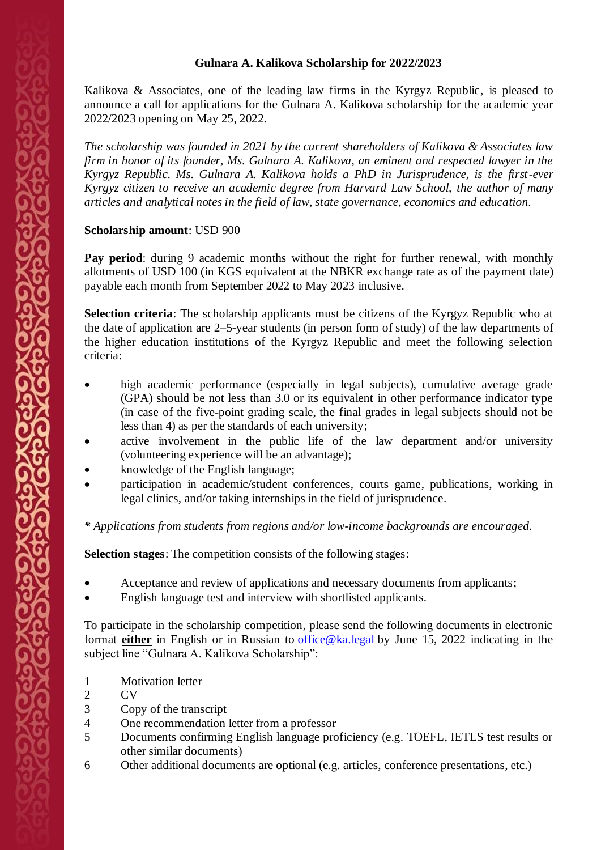## **Gulnara A. Kalikova Scholarship for 2022/2023**

Kalikova  $\&$  Associates, one of the leading law firms in the Kyrgyz Republic, is pleased to announce a call for applications for the Gulnara A. Kalikova scholarship for the academic year 2022/2023 opening on May 25, 2022.

*The scholarship was founded in 2021 by the current shareholders of Kalikova & Associates law firm in honor of its founder, Ms. Gulnara A. Kalikova, an eminent and respected lawyer in the Kyrgyz Republic. Ms. Gulnara A. Kalikova holds a PhD in Jurisprudence, is the first-ever Kyrgyz citizen to receive an academic degree from Harvard Law School, the author of many articles and analytical notes in the field of law, state governance, economics and education.* 

## **Scholarship amount**: USD 900

Pay period: during 9 academic months without the right for further renewal, with monthly allotments of USD 100 (in KGS equivalent at the NBKR exchange rate as of the payment date) payable each month from September 2022 to May 2023 inclusive.

**Selection criteria**: The scholarship applicants must be citizens of the Kyrgyz Republic who at the date of application are 2–5-year students (in person form of study) of the law departments of the higher education institutions of the Kyrgyz Republic and meet the following selection criteria:

- high academic performance (especially in legal subjects), cumulative average grade (GPA) should be not less than 3.0 or its equivalent in other performance indicator type (in case of the five-point grading scale, the final grades in legal subjects should not be less than 4) as per the standards of each university;
- active involvement in the public life of the law department and/or university (volunteering experience will be an advantage);
- knowledge of the English language;
- participation in academic/student conferences, courts game, publications, working in legal clinics, and/or taking internships in the field of jurisprudence.

*\* Applications from students from regions and/or low-income backgrounds are encouraged.*

**Selection stages:** The competition consists of the following stages:

- Acceptance and review of applications and necessary documents from applicants;
- English language test and interview with shortlisted applicants.

To participate in the scholarship competition, please send the following documents in electronic format **either** in English or in Russian to [office@ka.legal](mailto:office@ka.legal) by June 15, 2022 indicating in the subject line "Gulnara A. Kalikova Scholarship":

- 1 Motivation letter
- 2 CV
- 3 Copy of the transcript
- 4 One recommendation letter from a professor
- 5 Documents confirming English language proficiency (e.g. TOEFL, IETLS test results or other similar documents)
- 6 Other additional documents are optional (e.g. articles, conference presentations, etc.)